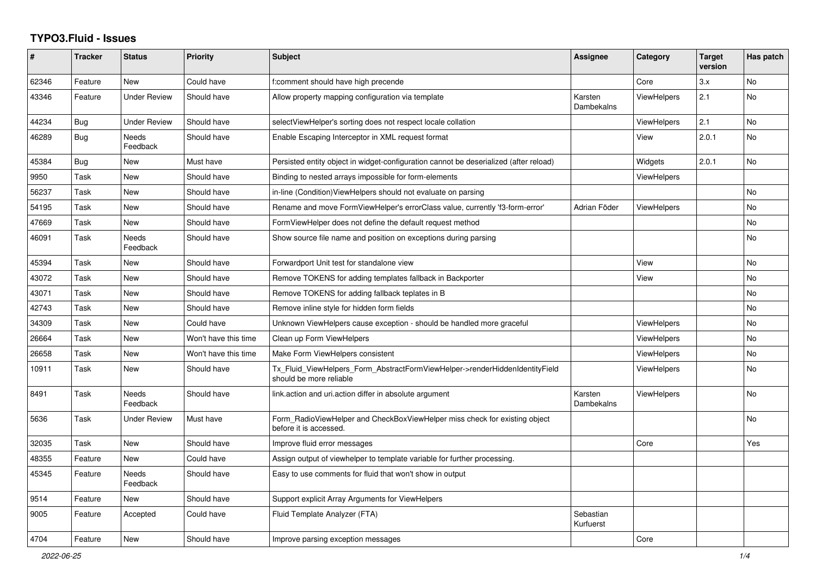## **TYPO3.Fluid - Issues**

| #     | <b>Tracker</b> | <b>Status</b>       | <b>Priority</b>      | <b>Subject</b>                                                                                         | Assignee               | Category           | <b>Target</b><br>version | Has patch |
|-------|----------------|---------------------|----------------------|--------------------------------------------------------------------------------------------------------|------------------------|--------------------|--------------------------|-----------|
| 62346 | Feature        | New                 | Could have           | f:comment should have high precende                                                                    |                        | Core               | 3.x                      | No        |
| 43346 | Feature        | <b>Under Review</b> | Should have          | Allow property mapping configuration via template                                                      | Karsten<br>Dambekalns  | <b>ViewHelpers</b> | 2.1                      | <b>No</b> |
| 44234 | Bug            | <b>Under Review</b> | Should have          | selectViewHelper's sorting does not respect locale collation                                           |                        | <b>ViewHelpers</b> | 2.1                      | <b>No</b> |
| 46289 | <b>Bug</b>     | Needs<br>Feedback   | Should have          | Enable Escaping Interceptor in XML request format                                                      |                        | View               | 2.0.1                    | <b>No</b> |
| 45384 | <b>Bug</b>     | New                 | Must have            | Persisted entity object in widget-configuration cannot be deserialized (after reload)                  |                        | Widgets            | 2.0.1                    | <b>No</b> |
| 9950  | Task           | New                 | Should have          | Binding to nested arrays impossible for form-elements                                                  |                        | ViewHelpers        |                          |           |
| 56237 | Task           | New                 | Should have          | in-line (Condition) View Helpers should not evaluate on parsing                                        |                        |                    |                          | No        |
| 54195 | Task           | New                 | Should have          | Rename and move FormViewHelper's errorClass value, currently 'f3-form-error'                           | Adrian Föder           | <b>ViewHelpers</b> |                          | No        |
| 47669 | Task           | New                 | Should have          | FormViewHelper does not define the default request method                                              |                        |                    |                          | No        |
| 46091 | Task           | Needs<br>Feedback   | Should have          | Show source file name and position on exceptions during parsing                                        |                        |                    |                          | No        |
| 45394 | Task           | New                 | Should have          | Forwardport Unit test for standalone view                                                              |                        | View               |                          | <b>No</b> |
| 43072 | Task           | New                 | Should have          | Remove TOKENS for adding templates fallback in Backporter                                              |                        | View               |                          | No        |
| 43071 | Task           | New                 | Should have          | Remove TOKENS for adding fallback teplates in B                                                        |                        |                    |                          | No        |
| 42743 | Task           | New                 | Should have          | Remove inline style for hidden form fields                                                             |                        |                    |                          | No        |
| 34309 | Task           | <b>New</b>          | Could have           | Unknown ViewHelpers cause exception - should be handled more graceful                                  |                        | <b>ViewHelpers</b> |                          | No.       |
| 26664 | Task           | <b>New</b>          | Won't have this time | Clean up Form ViewHelpers                                                                              |                        | <b>ViewHelpers</b> |                          | <b>No</b> |
| 26658 | Task           | New                 | Won't have this time | Make Form ViewHelpers consistent                                                                       |                        | <b>ViewHelpers</b> |                          | <b>No</b> |
| 10911 | Task           | New                 | Should have          | Tx_Fluid_ViewHelpers_Form_AbstractFormViewHelper->renderHiddenIdentityField<br>should be more reliable |                        | <b>ViewHelpers</b> |                          | No        |
| 8491  | Task           | Needs<br>Feedback   | Should have          | link.action and uri.action differ in absolute argument                                                 | Karsten<br>Dambekalns  | <b>ViewHelpers</b> |                          | <b>No</b> |
| 5636  | Task           | Under Review        | Must have            | Form RadioViewHelper and CheckBoxViewHelper miss check for existing object<br>before it is accessed.   |                        |                    |                          | No        |
| 32035 | Task           | New                 | Should have          | Improve fluid error messages                                                                           |                        | Core               |                          | Yes       |
| 48355 | Feature        | New                 | Could have           | Assign output of viewhelper to template variable for further processing.                               |                        |                    |                          |           |
| 45345 | Feature        | Needs<br>Feedback   | Should have          | Easy to use comments for fluid that won't show in output                                               |                        |                    |                          |           |
| 9514  | Feature        | <b>New</b>          | Should have          | Support explicit Array Arguments for ViewHelpers                                                       |                        |                    |                          |           |
| 9005  | Feature        | Accepted            | Could have           | Fluid Template Analyzer (FTA)                                                                          | Sebastian<br>Kurfuerst |                    |                          |           |
| 4704  | Feature        | <b>New</b>          | Should have          | Improve parsing exception messages                                                                     |                        | Core               |                          |           |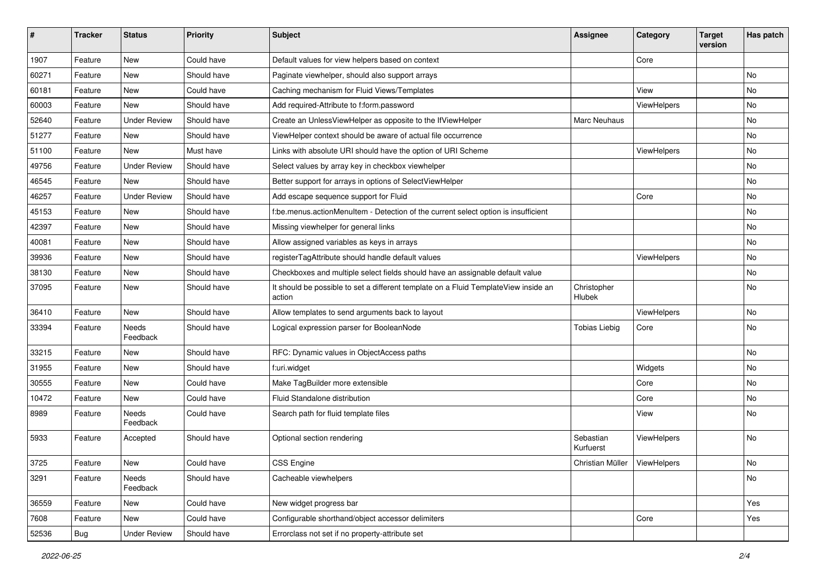| #     | <b>Tracker</b> | <b>Status</b>            | <b>Priority</b> | <b>Subject</b>                                                                                | <b>Assignee</b>                | Category    | <b>Target</b><br>version | Has patch |
|-------|----------------|--------------------------|-----------------|-----------------------------------------------------------------------------------------------|--------------------------------|-------------|--------------------------|-----------|
| 1907  | Feature        | New                      | Could have      | Default values for view helpers based on context                                              |                                | Core        |                          |           |
| 60271 | Feature        | New                      | Should have     | Paginate viewhelper, should also support arrays                                               |                                |             |                          | No        |
| 60181 | Feature        | New                      | Could have      | Caching mechanism for Fluid Views/Templates                                                   |                                | View        |                          | No        |
| 60003 | Feature        | New                      | Should have     | Add required-Attribute to f:form.password                                                     |                                | ViewHelpers |                          | No        |
| 52640 | Feature        | <b>Under Review</b>      | Should have     | Create an UnlessViewHelper as opposite to the IfViewHelper                                    | Marc Neuhaus                   |             |                          | No        |
| 51277 | Feature        | New                      | Should have     | ViewHelper context should be aware of actual file occurrence                                  |                                |             |                          | No        |
| 51100 | Feature        | New                      | Must have       | Links with absolute URI should have the option of URI Scheme                                  |                                | ViewHelpers |                          | No        |
| 49756 | Feature        | <b>Under Review</b>      | Should have     | Select values by array key in checkbox viewhelper                                             |                                |             |                          | No        |
| 46545 | Feature        | <b>New</b>               | Should have     | Better support for arrays in options of SelectViewHelper                                      |                                |             |                          | No        |
| 46257 | Feature        | <b>Under Review</b>      | Should have     | Add escape sequence support for Fluid                                                         |                                | Core        |                          | No        |
| 45153 | Feature        | New                      | Should have     | f:be.menus.actionMenuItem - Detection of the current select option is insufficient            |                                |             |                          | No        |
| 42397 | Feature        | New                      | Should have     | Missing viewhelper for general links                                                          |                                |             |                          | No        |
| 40081 | Feature        | New                      | Should have     | Allow assigned variables as keys in arrays                                                    |                                |             |                          | No        |
| 39936 | Feature        | New                      | Should have     | registerTagAttribute should handle default values                                             |                                | ViewHelpers |                          | No        |
| 38130 | Feature        | New                      | Should have     | Checkboxes and multiple select fields should have an assignable default value                 |                                |             |                          | No        |
| 37095 | Feature        | New                      | Should have     | It should be possible to set a different template on a Fluid TemplateView inside an<br>action | Christopher<br><b>Hlubek</b>   |             |                          | No        |
| 36410 | Feature        | New                      | Should have     | Allow templates to send arguments back to layout                                              |                                | ViewHelpers |                          | No        |
| 33394 | Feature        | <b>Needs</b><br>Feedback | Should have     | Logical expression parser for BooleanNode                                                     | <b>Tobias Liebig</b>           | Core        |                          | No        |
| 33215 | Feature        | New                      | Should have     | RFC: Dynamic values in ObjectAccess paths                                                     |                                |             |                          | No        |
| 31955 | Feature        | New                      | Should have     | f:uri.widget                                                                                  |                                | Widgets     |                          | No        |
| 30555 | Feature        | New                      | Could have      | Make TagBuilder more extensible                                                               |                                | Core        |                          | No        |
| 10472 | Feature        | New                      | Could have      | Fluid Standalone distribution                                                                 |                                | Core        |                          | No        |
| 8989  | Feature        | Needs<br>Feedback        | Could have      | Search path for fluid template files                                                          |                                | View        |                          | No        |
| 5933  | Feature        | Accepted                 | Should have     | Optional section rendering                                                                    | Sebastian<br>Kurfuerst         | ViewHelpers |                          | No        |
| 3725  | Feature        | New                      | Could have      | CSS Engine                                                                                    | Christian Müller   ViewHelpers |             |                          | NO.       |
| 3291  | Feature        | Needs<br>Feedback        | Should have     | Cacheable viewhelpers                                                                         |                                |             |                          | No        |
| 36559 | Feature        | New                      | Could have      | New widget progress bar                                                                       |                                |             |                          | Yes       |
| 7608  | Feature        | New                      | Could have      | Configurable shorthand/object accessor delimiters                                             |                                | Core        |                          | Yes       |
| 52536 | Bug            | <b>Under Review</b>      | Should have     | Errorclass not set if no property-attribute set                                               |                                |             |                          |           |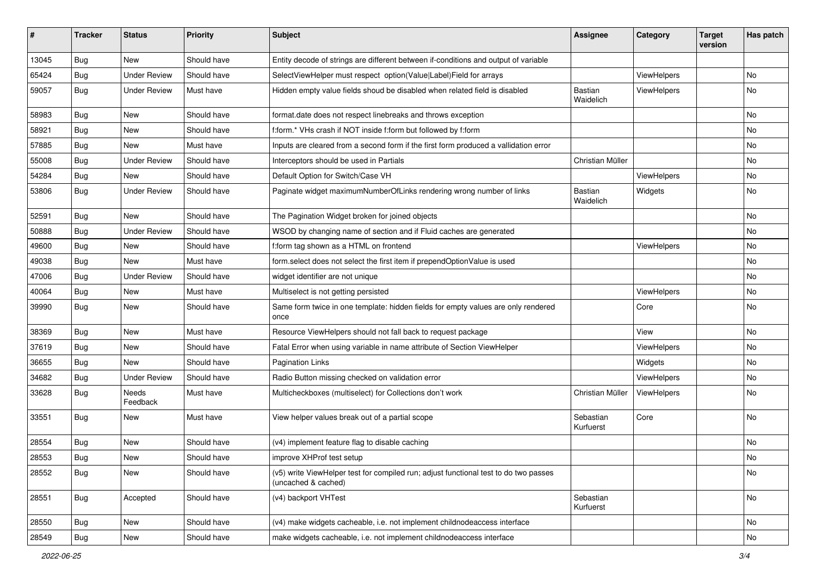| #     | <b>Tracker</b> | <b>Status</b>       | <b>Priority</b> | <b>Subject</b>                                                                                              | <b>Assignee</b>             | Category    | <b>Target</b><br>version | Has patch |
|-------|----------------|---------------------|-----------------|-------------------------------------------------------------------------------------------------------------|-----------------------------|-------------|--------------------------|-----------|
| 13045 | Bug            | New                 | Should have     | Entity decode of strings are different between if-conditions and output of variable                         |                             |             |                          |           |
| 65424 | Bug            | <b>Under Review</b> | Should have     | SelectViewHelper must respect option(Value Label)Field for arrays                                           |                             | ViewHelpers |                          | No        |
| 59057 | Bug            | <b>Under Review</b> | Must have       | Hidden empty value fields shoud be disabled when related field is disabled                                  | <b>Bastian</b><br>Waidelich | ViewHelpers |                          | No        |
| 58983 | Bug            | New                 | Should have     | format.date does not respect linebreaks and throws exception                                                |                             |             |                          | No        |
| 58921 | Bug            | New                 | Should have     | f:form.* VHs crash if NOT inside f:form but followed by f:form                                              |                             |             |                          | No        |
| 57885 | Bug            | New                 | Must have       | Inputs are cleared from a second form if the first form produced a vallidation error                        |                             |             |                          | No        |
| 55008 | Bug            | <b>Under Review</b> | Should have     | Interceptors should be used in Partials                                                                     | Christian Müller            |             |                          | No        |
| 54284 | Bug            | New                 | Should have     | Default Option for Switch/Case VH                                                                           |                             | ViewHelpers |                          | No        |
| 53806 | Bug            | <b>Under Review</b> | Should have     | Paginate widget maximumNumberOfLinks rendering wrong number of links                                        | <b>Bastian</b><br>Waidelich | Widgets     |                          | No        |
| 52591 | Bug            | New                 | Should have     | The Pagination Widget broken for joined objects                                                             |                             |             |                          | No        |
| 50888 | Bug            | <b>Under Review</b> | Should have     | WSOD by changing name of section and if Fluid caches are generated                                          |                             |             |                          | No        |
| 49600 | Bug            | New                 | Should have     | f:form tag shown as a HTML on frontend                                                                      |                             | ViewHelpers |                          | No        |
| 49038 | Bug            | New                 | Must have       | form.select does not select the first item if prependOptionValue is used                                    |                             |             |                          | No        |
| 47006 | Bug            | <b>Under Review</b> | Should have     | widget identifier are not unique                                                                            |                             |             |                          | No        |
| 40064 | Bug            | New                 | Must have       | Multiselect is not getting persisted                                                                        |                             | ViewHelpers |                          | No        |
| 39990 | Bug            | New                 | Should have     | Same form twice in one template: hidden fields for empty values are only rendered<br>once                   |                             | Core        |                          | No        |
| 38369 | <b>Bug</b>     | New                 | Must have       | Resource ViewHelpers should not fall back to request package                                                |                             | View        |                          | No        |
| 37619 | Bug            | New                 | Should have     | Fatal Error when using variable in name attribute of Section ViewHelper                                     |                             | ViewHelpers |                          | No        |
| 36655 | Bug            | New                 | Should have     | <b>Pagination Links</b>                                                                                     |                             | Widgets     |                          | No        |
| 34682 | Bug            | <b>Under Review</b> | Should have     | Radio Button missing checked on validation error                                                            |                             | ViewHelpers |                          | No        |
| 33628 | Bug            | Needs<br>Feedback   | Must have       | Multicheckboxes (multiselect) for Collections don't work                                                    | Christian Müller            | ViewHelpers |                          | No        |
| 33551 | Bug            | New                 | Must have       | View helper values break out of a partial scope                                                             | Sebastian<br>Kurfuerst      | Core        |                          | No        |
| 28554 | Bug            | New                 | Should have     | (v4) implement feature flag to disable caching                                                              |                             |             |                          | No        |
| 28553 | Bug            | New                 | Should have     | improve XHProf test setup                                                                                   |                             |             |                          | No        |
| 28552 | Bug            | New                 | Should have     | (v5) write ViewHelper test for compiled run; adjust functional test to do two passes<br>(uncached & cached) |                             |             |                          | No        |
| 28551 | Bug            | Accepted            | Should have     | (v4) backport VHTest                                                                                        | Sebastian<br>Kurfuerst      |             |                          | No        |
| 28550 | Bug            | New                 | Should have     | (v4) make widgets cacheable, i.e. not implement childnodeaccess interface                                   |                             |             |                          | No        |
| 28549 | Bug            | New                 | Should have     | make widgets cacheable, i.e. not implement childnodeaccess interface                                        |                             |             |                          | No        |